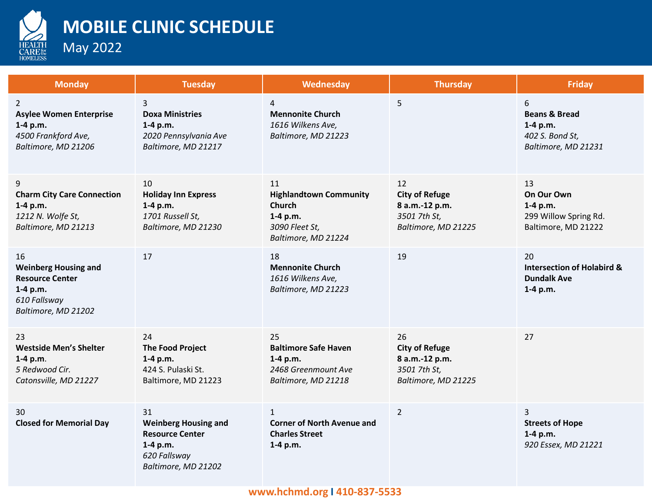

## **MOBILE CLINIC SCHEDULE**

May 2022

| <b>Monday</b>                                                                                                  | <b>Tuesday</b>                                                                                                 | Wednesday                                                                                                 | <b>Thursday</b>                                                                      | <b>Friday</b>                                                                         |
|----------------------------------------------------------------------------------------------------------------|----------------------------------------------------------------------------------------------------------------|-----------------------------------------------------------------------------------------------------------|--------------------------------------------------------------------------------------|---------------------------------------------------------------------------------------|
| $\overline{2}$<br><b>Asylee Women Enterprise</b><br>1-4 p.m.<br>4500 Frankford Ave,<br>Baltimore, MD 21206     | 3<br><b>Doxa Ministries</b><br>$1-4 p.m.$<br>2020 Pennsylvania Ave<br>Baltimore, MD 21217                      | 4<br><b>Mennonite Church</b><br>1616 Wilkens Ave,<br>Baltimore, MD 21223                                  | 5                                                                                    | 6<br><b>Beans &amp; Bread</b><br>$1-4 p.m.$<br>402 S. Bond St,<br>Baltimore, MD 21231 |
| 9<br><b>Charm City Care Connection</b><br>1-4 p.m.<br>1212 N. Wolfe St,<br>Baltimore, MD 21213                 | 10<br><b>Holiday Inn Express</b><br>1-4 p.m.<br>1701 Russell St,<br>Baltimore, MD 21230                        | 11<br><b>Highlandtown Community</b><br><b>Church</b><br>1-4 p.m.<br>3090 Fleet St,<br>Baltimore, MD 21224 | 12<br><b>City of Refuge</b><br>8 a.m.-12 p.m.<br>3501 7th St,<br>Baltimore, MD 21225 | 13<br>On Our Own<br>1-4 p.m.<br>299 Willow Spring Rd.<br>Baltimore, MD 21222          |
| 16<br><b>Weinberg Housing and</b><br><b>Resource Center</b><br>1-4 p.m.<br>610 Fallsway<br>Baltimore, MD 21202 | 17                                                                                                             | 18<br><b>Mennonite Church</b><br>1616 Wilkens Ave,<br>Baltimore, MD 21223                                 | 19                                                                                   | 20<br><b>Intersection of Holabird &amp;</b><br><b>Dundalk Ave</b><br>1-4 p.m.         |
| 23<br><b>Westside Men's Shelter</b><br>1-4 p.m.<br>5 Redwood Cir.<br>Catonsville, MD 21227                     | 24<br><b>The Food Project</b><br>$1-4 p.m.$<br>424 S. Pulaski St.<br>Baltimore, MD 21223                       | 25<br><b>Baltimore Safe Haven</b><br>1-4 p.m.<br>2468 Greenmount Ave<br>Baltimore, MD 21218               | 26<br><b>City of Refuge</b><br>8 a.m.-12 p.m.<br>3501 7th St,<br>Baltimore, MD 21225 | 27                                                                                    |
| 30<br><b>Closed for Memorial Day</b>                                                                           | 31<br><b>Weinberg Housing and</b><br><b>Resource Center</b><br>1-4 p.m.<br>620 Fallsway<br>Baltimore, MD 21202 | $\mathbf{1}$<br><b>Corner of North Avenue and</b><br><b>Charles Street</b><br>1-4 p.m.                    | $\overline{2}$                                                                       | 3<br><b>Streets of Hope</b><br>$1-4 p.m.$<br>920 Essex, MD 21221                      |